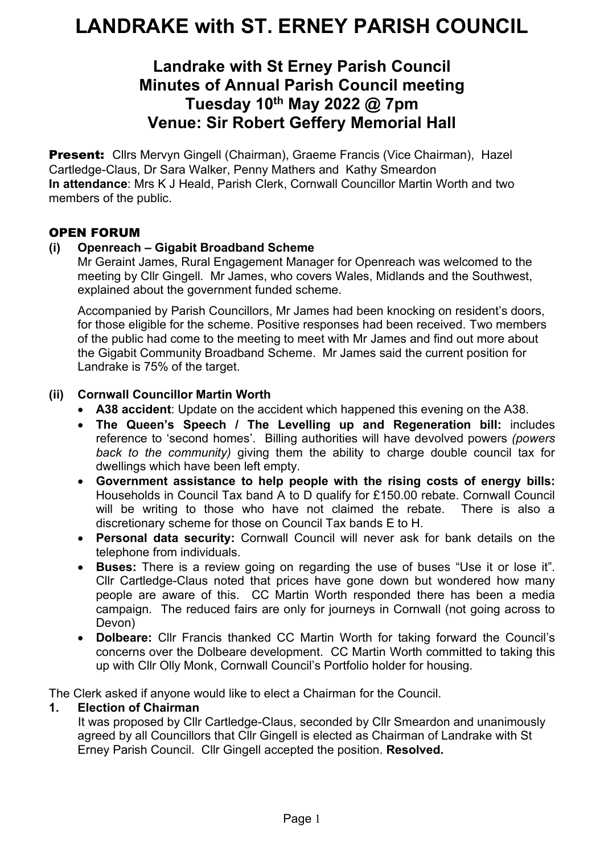# **Landrake with St Erney Parish Council Minutes of Annual Parish Council meeting Tuesday 10th May 2022 @ 7pm Venue: Sir Robert Geffery Memorial Hall**

**Present:** Cllrs Mervyn Gingell (Chairman), Graeme Francis (Vice Chairman), Hazel Cartledge-Claus, Dr Sara Walker, Penny Mathers and Kathy Smeardon **In attendance**: Mrs K J Heald, Parish Clerk, Cornwall Councillor Martin Worth and two members of the public.

### OPEN FORUM

### **(i) Openreach – Gigabit Broadband Scheme**

Mr Geraint James, Rural Engagement Manager for Openreach was welcomed to the meeting by Cllr Gingell. Mr James, who covers Wales, Midlands and the Southwest, explained about the government funded scheme.

Accompanied by Parish Councillors, Mr James had been knocking on resident's doors, for those eligible for the scheme. Positive responses had been received. Two members of the public had come to the meeting to meet with Mr James and find out more about the Gigabit Community Broadband Scheme. Mr James said the current position for Landrake is 75% of the target.

### **(ii) Cornwall Councillor Martin Worth**

- **A38 accident**: Update on the accident which happened this evening on the A38.
- **The Queen's Speech / The Levelling up and Regeneration bill:** includes reference to 'second homes'. Billing authorities will have devolved powers *(powers back to the community)* giving them the ability to charge double council tax for dwellings which have been left empty.
- **Government assistance to help people with the rising costs of energy bills:** Households in Council Tax band A to D qualify for £150.00 rebate. Cornwall Council will be writing to those who have not claimed the rebate. There is also a discretionary scheme for those on Council Tax bands E to H.
- **Personal data security:** Cornwall Council will never ask for bank details on the telephone from individuals.
- **Buses:** There is a review going on regarding the use of buses "Use it or lose it". Cllr Cartledge-Claus noted that prices have gone down but wondered how many people are aware of this. CC Martin Worth responded there has been a media campaign. The reduced fairs are only for journeys in Cornwall (not going across to Devon)
- **Dolbeare:** Cllr Francis thanked CC Martin Worth for taking forward the Council's concerns over the Dolbeare development. CC Martin Worth committed to taking this up with Cllr Olly Monk, Cornwall Council's Portfolio holder for housing.

The Clerk asked if anyone would like to elect a Chairman for the Council.

### **1. Election of Chairman**

It was proposed by Cllr Cartledge-Claus, seconded by Cllr Smeardon and unanimously agreed by all Councillors that Cllr Gingell is elected as Chairman of Landrake with St Erney Parish Council. Cllr Gingell accepted the position. **Resolved.**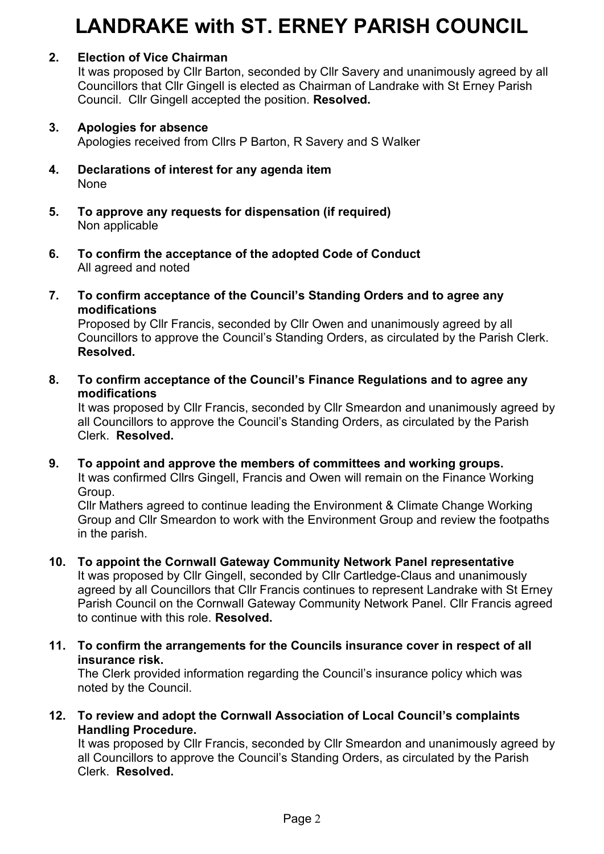# **2. Election of Vice Chairman**

It was proposed by Cllr Barton, seconded by Cllr Savery and unanimously agreed by all Councillors that Cllr Gingell is elected as Chairman of Landrake with St Erney Parish Council. Cllr Gingell accepted the position. **Resolved.**

#### **3. Apologies for absence**

Apologies received from Cllrs P Barton, R Savery and S Walker

- **4. Declarations of interest for any agenda item** None
- **5. To approve any requests for dispensation (if required)** Non applicable
- **6. To confirm the acceptance of the adopted Code of Conduct** All agreed and noted
- **7. To confirm acceptance of the Council's Standing Orders and to agree any modifications**

Proposed by Cllr Francis, seconded by Cllr Owen and unanimously agreed by all Councillors to approve the Council's Standing Orders, as circulated by the Parish Clerk. **Resolved.**

**8. To confirm acceptance of the Council's Finance Regulations and to agree any modifications**

It was proposed by Cllr Francis, seconded by Cllr Smeardon and unanimously agreed by all Councillors to approve the Council's Standing Orders, as circulated by the Parish Clerk. **Resolved.**

**9. To appoint and approve the members of committees and working groups.**

It was confirmed Cllrs Gingell, Francis and Owen will remain on the Finance Working Group.

Cllr Mathers agreed to continue leading the Environment & Climate Change Working Group and Cllr Smeardon to work with the Environment Group and review the footpaths in the parish.

**10. To appoint the Cornwall Gateway Community Network Panel representative**

It was proposed by Cllr Gingell, seconded by Cllr Cartledge-Claus and unanimously agreed by all Councillors that Cllr Francis continues to represent Landrake with St Erney Parish Council on the Cornwall Gateway Community Network Panel. Cllr Francis agreed to continue with this role. **Resolved.**

**11. To confirm the arrangements for the Councils insurance cover in respect of all insurance risk.**

The Clerk provided information regarding the Council's insurance policy which was noted by the Council.

**12. To review and adopt the Cornwall Association of Local Council's complaints Handling Procedure.**

It was proposed by Cllr Francis, seconded by Cllr Smeardon and unanimously agreed by all Councillors to approve the Council's Standing Orders, as circulated by the Parish Clerk. **Resolved.**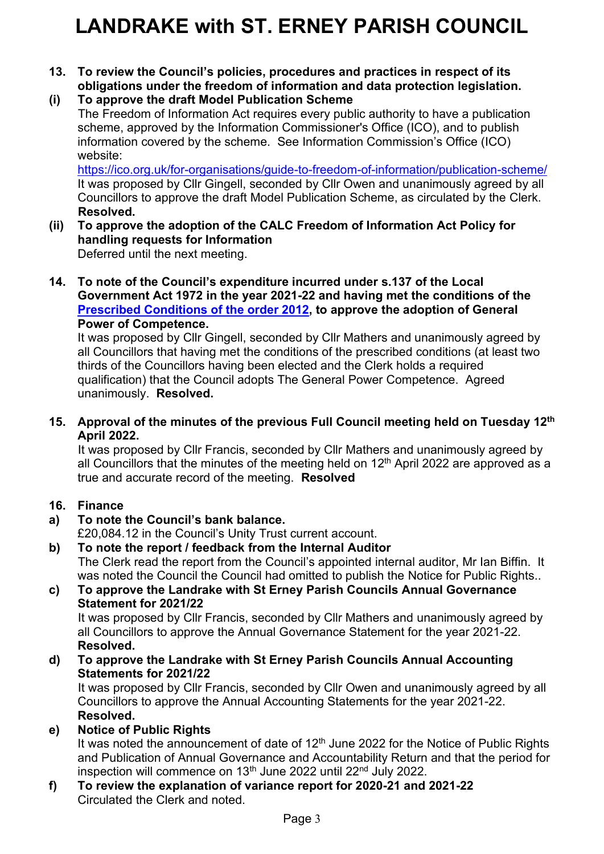- **13. To review the Council's policies, procedures and practices in respect of its obligations under the freedom of information and data protection legislation.**
- **(i) To approve the draft Model Publication Scheme** The Freedom of Information Act requires every public authority to have a publication scheme, approved by the Information Commissioner's Office (ICO), and to publish information covered by the scheme. See Information Commission's Office (ICO) website:

<https://ico.org.uk/for-organisations/guide-to-freedom-of-information/publication-scheme/> It was proposed by Cllr Gingell, seconded by Cllr Owen and unanimously agreed by all Councillors to approve the draft Model Publication Scheme, as circulated by the Clerk. **Resolved.**

- **(ii) To approve the adoption of the CALC Freedom of Information Act Policy for handling requests for Information** Deferred until the next meeting.
- **14. To note of the Council's expenditure incurred under s.137 of the Local Government Act 1972 in the year 2021-22 and having met the conditions of the [Prescribed Conditions of the order 2012,](https://www.legislation.gov.uk/uksi/2012/965/schedule/made) to approve the adoption of General Power of Competence.**

It was proposed by Cllr Gingell, seconded by Cllr Mathers and unanimously agreed by all Councillors that having met the conditions of the prescribed conditions (at least two thirds of the Councillors having been elected and the Clerk holds a required qualification) that the Council adopts The General Power Competence. Agreed unanimously. **Resolved.**

**15. Approval of the minutes of the previous Full Council meeting held on Tuesday 12 th April 2022.**

It was proposed by Cllr Francis, seconded by Cllr Mathers and unanimously agreed by all Councillors that the minutes of the meeting held on 12<sup>th</sup> April 2022 are approved as a true and accurate record of the meeting. **Resolved**

# **16. Finance**

**a) To note the Council's bank balance.**

£20,084.12 in the Council's Unity Trust current account.

- **b) To note the report / feedback from the Internal Auditor** The Clerk read the report from the Council's appointed internal auditor, Mr Ian Biffin. It
- was noted the Council the Council had omitted to publish the Notice for Public Rights.. **c) To approve the Landrake with St Erney Parish Councils Annual Governance Statement for 2021/22**

It was proposed by Cllr Francis, seconded by Cllr Mathers and unanimously agreed by all Councillors to approve the Annual Governance Statement for the year 2021-22. **Resolved.** 

**d) To approve the Landrake with St Erney Parish Councils Annual Accounting Statements for 2021/22**

It was proposed by Cllr Francis, seconded by Cllr Owen and unanimously agreed by all Councillors to approve the Annual Accounting Statements for the year 2021-22. **Resolved.** 

**e) Notice of Public Rights**

It was noted the announcement of date of 12<sup>th</sup> June 2022 for the Notice of Public Rights and Publication of Annual Governance and Accountability Return and that the period for inspection will commence on  $13<sup>th</sup>$  June 2022 until 22<sup>nd</sup> July 2022.

**f) To review the explanation of variance report for 2020-21 and 2021-22** Circulated the Clerk and noted.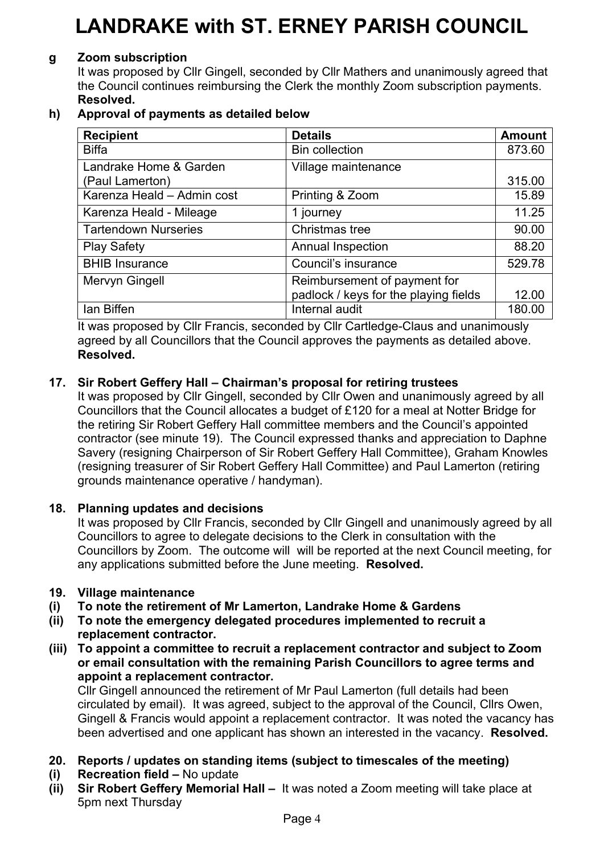### **g Zoom subscription**

It was proposed by Cllr Gingell, seconded by Cllr Mathers and unanimously agreed that the Council continues reimbursing the Clerk the monthly Zoom subscription payments. **Resolved.**

## **h) Approval of payments as detailed below**

| <b>Recipient</b>            | <b>Details</b>                        | <b>Amount</b> |
|-----------------------------|---------------------------------------|---------------|
| <b>Biffa</b>                | <b>Bin collection</b>                 | 873.60        |
| Landrake Home & Garden      | Village maintenance                   |               |
| (Paul Lamerton)             |                                       | 315.00        |
| Karenza Heald - Admin cost  | Printing & Zoom                       | 15.89         |
| Karenza Heald - Mileage     | 1 journey                             | 11.25         |
| <b>Tartendown Nurseries</b> | Christmas tree                        | 90.00         |
| <b>Play Safety</b>          | <b>Annual Inspection</b>              | 88.20         |
| <b>BHIB Insurance</b>       | Council's insurance                   | 529.78        |
| Mervyn Gingell              | Reimbursement of payment for          |               |
|                             | padlock / keys for the playing fields | 12.00         |
| lan Biffen                  | Internal audit                        | 180.00        |

It was proposed by Cllr Francis, seconded by Cllr Cartledge-Claus and unanimously agreed by all Councillors that the Council approves the payments as detailed above. **Resolved.**

# **17. Sir Robert Geffery Hall – Chairman's proposal for retiring trustees**

It was proposed by Cllr Gingell, seconded by Cllr Owen and unanimously agreed by all Councillors that the Council allocates a budget of £120 for a meal at Notter Bridge for the retiring Sir Robert Geffery Hall committee members and the Council's appointed contractor (see minute 19). The Council expressed thanks and appreciation to Daphne Savery (resigning Chairperson of Sir Robert Geffery Hall Committee), Graham Knowles (resigning treasurer of Sir Robert Geffery Hall Committee) and Paul Lamerton (retiring grounds maintenance operative / handyman).

### **18. Planning updates and decisions**

It was proposed by Cllr Francis, seconded by Cllr Gingell and unanimously agreed by all Councillors to agree to delegate decisions to the Clerk in consultation with the Councillors by Zoom. The outcome will will be reported at the next Council meeting, for any applications submitted before the June meeting. **Resolved.**

### **19. Village maintenance**

- **(i) To note the retirement of Mr Lamerton, Landrake Home & Gardens**
- **(ii) To note the emergency delegated procedures implemented to recruit a replacement contractor.**
- **(iii) To appoint a committee to recruit a replacement contractor and subject to Zoom or email consultation with the remaining Parish Councillors to agree terms and appoint a replacement contractor.**

Cllr Gingell announced the retirement of Mr Paul Lamerton (full details had been circulated by email). It was agreed, subject to the approval of the Council, Cllrs Owen, Gingell & Francis would appoint a replacement contractor. It was noted the vacancy has been advertised and one applicant has shown an interested in the vacancy. **Resolved.**

- **20. Reports / updates on standing items (subject to timescales of the meeting)**
- **(i) Recreation field –** No update
- **(ii)** Sir Robert Geffery Memorial Hall It was noted a Zoom meeting will take place at 5pm next Thursday